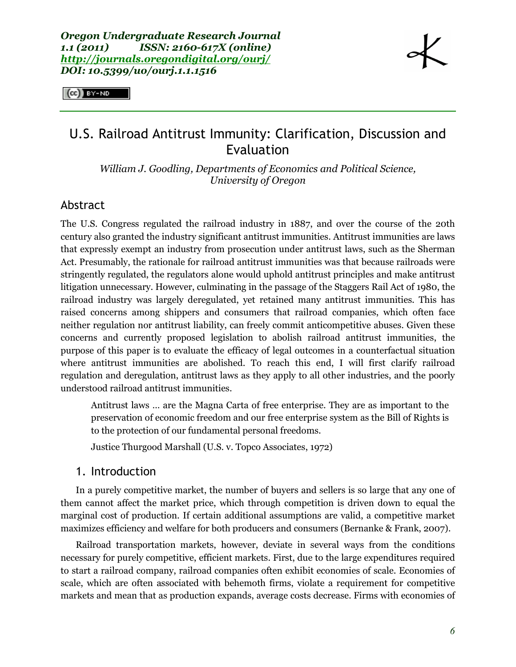$(cc)$  BY-ND

# U.S. Railroad Antitrust Immunity: Clarification, Discussion and Evaluation

*William J. Goodling, Departments of Economics and Political Science, University of Oregon*

# Abstract

The U.S. Congress regulated the railroad industry in 1887, and over the course of the 20th century also granted the industry significant antitrust immunities. Antitrust immunities are laws that expressly exempt an industry from prosecution under antitrust laws, such as the Sherman Act. Presumably, the rationale for railroad antitrust immunities was that because railroads were stringently regulated, the regulators alone would uphold antitrust principles and make antitrust litigation unnecessary. However, culminating in the passage of the Staggers Rail Act of 1980, the railroad industry was largely deregulated, yet retained many antitrust immunities. This has raised concerns among shippers and consumers that railroad companies, which often face neither regulation nor antitrust liability, can freely commit anticompetitive abuses. Given these concerns and currently proposed legislation to abolish railroad antitrust immunities, the purpose of this paper is to evaluate the efficacy of legal outcomes in a counterfactual situation where antitrust immunities are abolished. To reach this end, I will first clarify railroad regulation and deregulation, antitrust laws as they apply to all other industries, and the poorly understood railroad antitrust immunities.

Antitrust laws … are the Magna Carta of free enterprise. They are as important to the preservation of economic freedom and our free enterprise system as the Bill of Rights is to the protection of our fundamental personal freedoms.

Justice Thurgood Marshall (U.S. v. Topco Associates, 1972)

## 1. Introduction

In a purely competitive market, the number of buyers and sellers is so large that any one of them cannot affect the market price, which through competition is driven down to equal the marginal cost of production. If certain additional assumptions are valid, a competitive market maximizes efficiency and welfare for both producers and consumers (Bernanke & Frank, 2007).

Railroad transportation markets, however, deviate in several ways from the conditions necessary for purely competitive, efficient markets. First, due to the large expenditures required to start a railroad company, railroad companies often exhibit economies of scale. Economies of scale, which are often associated with behemoth firms, violate a requirement for competitive markets and mean that as production expands, average costs decrease. Firms with economies of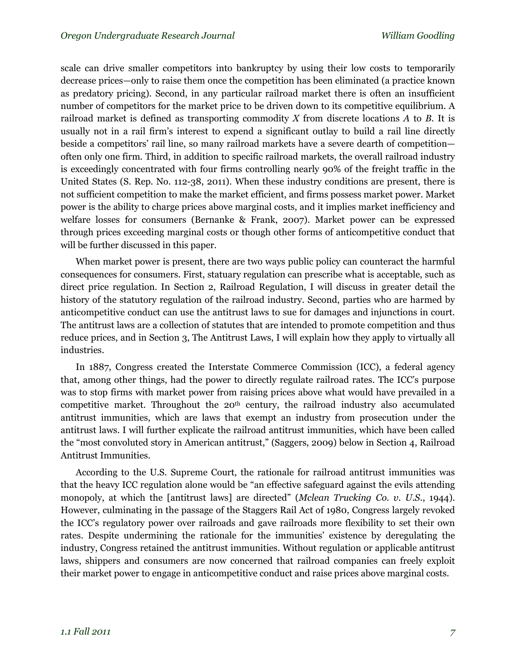scale can drive smaller competitors into bankruptcy by using their low costs to temporarily decrease prices—only to raise them once the competition has been eliminated (a practice known as predatory pricing). Second, in any particular railroad market there is often an insufficient number of competitors for the market price to be driven down to its competitive equilibrium. A railroad market is defined as transporting commodity *X* from discrete locations *A* to *B*. It is usually not in a rail firm's interest to expend a significant outlay to build a rail line directly beside a competitors' rail line, so many railroad markets have a severe dearth of competition often only one firm. Third, in addition to specific railroad markets, the overall railroad industry is exceedingly concentrated with four firms controlling nearly 90% of the freight traffic in the United States (S. Rep. No. 112-38, 2011). When these industry conditions are present, there is not sufficient competition to make the market efficient, and firms possess market power. Market power is the ability to charge prices above marginal costs, and it implies market inefficiency and welfare losses for consumers (Bernanke & Frank, 2007). Market power can be expressed through prices exceeding marginal costs or though other forms of anticompetitive conduct that will be further discussed in this paper.

When market power is present, there are two ways public policy can counteract the harmful consequences for consumers. First, statuary regulation can prescribe what is acceptable, such as direct price regulation. In Section 2, Railroad Regulation, I will discuss in greater detail the history of the statutory regulation of the railroad industry. Second, parties who are harmed by anticompetitive conduct can use the antitrust laws to sue for damages and injunctions in court. The antitrust laws are a collection of statutes that are intended to promote competition and thus reduce prices, and in Section 3, The Antitrust Laws, I will explain how they apply to virtually all industries.

In 1887, Congress created the Interstate Commerce Commission (ICC), a federal agency that, among other things, had the power to directly regulate railroad rates. The ICC's purpose was to stop firms with market power from raising prices above what would have prevailed in a competitive market. Throughout the 20<sup>th</sup> century, the railroad industry also accumulated antitrust immunities, which are laws that exempt an industry from prosecution under the antitrust laws. I will further explicate the railroad antitrust immunities, which have been called the "most convoluted story in American antitrust," (Saggers, 2009) below in Section 4, Railroad Antitrust Immunities.

According to the U.S. Supreme Court, the rationale for railroad antitrust immunities was that the heavy ICC regulation alone would be "an effective safeguard against the evils attending monopoly, at which the [antitrust laws] are directed" (*Mclean Trucking Co. v. U.S.*, 1944). However, culminating in the passage of the Staggers Rail Act of 1980, Congress largely revoked the ICC's regulatory power over railroads and gave railroads more flexibility to set their own rates. Despite undermining the rationale for the immunities' existence by deregulating the industry, Congress retained the antitrust immunities. Without regulation or applicable antitrust laws, shippers and consumers are now concerned that railroad companies can freely exploit their market power to engage in anticompetitive conduct and raise prices above marginal costs.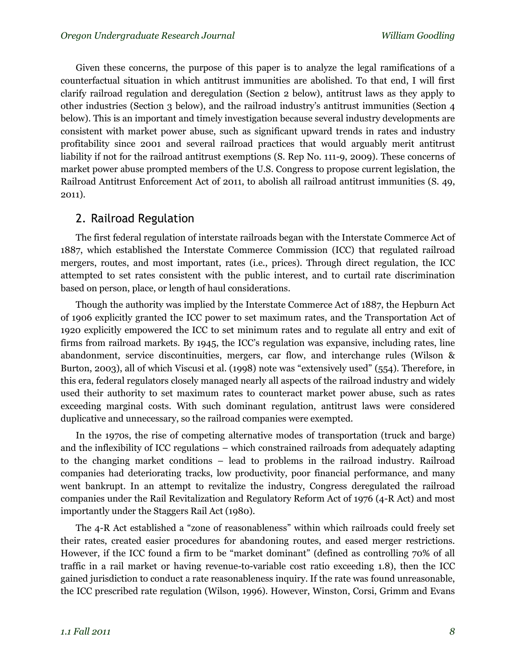Given these concerns, the purpose of this paper is to analyze the legal ramifications of a counterfactual situation in which antitrust immunities are abolished. To that end, I will first clarify railroad regulation and deregulation (Section 2 below), antitrust laws as they apply to other industries (Section 3 below), and the railroad industry's antitrust immunities (Section 4 below). This is an important and timely investigation because several industry developments are consistent with market power abuse, such as significant upward trends in rates and industry profitability since 2001 and several railroad practices that would arguably merit antitrust liability if not for the railroad antitrust exemptions (S. Rep No. 111-9, 2009). These concerns of market power abuse prompted members of the U.S. Congress to propose current legislation, the Railroad Antitrust Enforcement Act of 2011, to abolish all railroad antitrust immunities (S. 49, 2011).

# 2. Railroad Regulation

The first federal regulation of interstate railroads began with the Interstate Commerce Act of 1887, which established the Interstate Commerce Commission (ICC) that regulated railroad mergers, routes, and most important, rates (i.e., prices). Through direct regulation, the ICC attempted to set rates consistent with the public interest, and to curtail rate discrimination based on person, place, or length of haul considerations.

Though the authority was implied by the Interstate Commerce Act of 1887, the Hepburn Act of 1906 explicitly granted the ICC power to set maximum rates, and the Transportation Act of 1920 explicitly empowered the ICC to set minimum rates and to regulate all entry and exit of firms from railroad markets. By 1945, the ICC's regulation was expansive, including rates, line abandonment, service discontinuities, mergers, car flow, and interchange rules (Wilson & Burton, 2003), all of which Viscusi et al. (1998) note was "extensively used" (554). Therefore, in this era, federal regulators closely managed nearly all aspects of the railroad industry and widely used their authority to set maximum rates to counteract market power abuse, such as rates exceeding marginal costs. With such dominant regulation, antitrust laws were considered duplicative and unnecessary, so the railroad companies were exempted.

In the 1970s, the rise of competing alternative modes of transportation (truck and barge) and the inflexibility of ICC regulations – which constrained railroads from adequately adapting to the changing market conditions – lead to problems in the railroad industry. Railroad companies had deteriorating tracks, low productivity, poor financial performance, and many went bankrupt. In an attempt to revitalize the industry, Congress deregulated the railroad companies under the Rail Revitalization and Regulatory Reform Act of 1976 (4-R Act) and most importantly under the Staggers Rail Act (1980).

The 4-R Act established a "zone of reasonableness" within which railroads could freely set their rates, created easier procedures for abandoning routes, and eased merger restrictions. However, if the ICC found a firm to be "market dominant" (defined as controlling 70% of all traffic in a rail market or having revenue-to-variable cost ratio exceeding 1.8), then the ICC gained jurisdiction to conduct a rate reasonableness inquiry. If the rate was found unreasonable, the ICC prescribed rate regulation (Wilson, 1996). However, Winston, Corsi, Grimm and Evans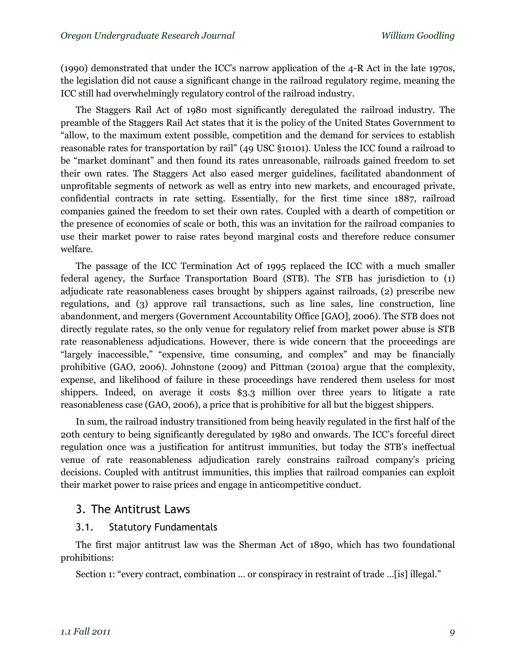(1990) demonstrated that under the ICC's narrow application of the 4-R Act in the late 1970s, the legislation did not cause a significant change in the railroad regulatory regime, meaning the ICC still had overwhelmingly regulatory control of the railroad industry.

The Staggers Rail Act of 1980 most significantly deregulated the railroad industry. The preamble of the Staggers Rail Act states that it is the policy of the United States Government to "allow, to the maximum extent possible, competition and the demand for services to establish reasonable rates for transportation by rail" (49 USC §10101). Unless the ICC found a railroad to be "market dominant" and then found its rates unreasonable, railroads gained freedom to set their own rates. The Staggers Act also eased merger guidelines, facilitated abandonment of unprofitable segments of network as well as entry into new markets, and encouraged private, confidential contracts in rate setting. Essentially, for the first time since 1887, railroad companies gained the freedom to set their own rates. Coupled with a dearth of competition or the presence of economies of scale or both, this was an invitation for the railroad companies to use their market power to raise rates beyond marginal costs and therefore reduce consumer welfare.

The passage of the ICC Termination Act of 1995 replaced the ICC with a much smaller federal agency, the Surface Transportation Board (STB). The STB has jurisdiction to (1) adjudicate rate reasonableness cases brought by shippers against railroads, (2) prescribe new regulations, and (3) approve rail transactions, such as line sales, line construction, line abandonment, and mergers (Government Accountability Office [GAO], 2006). The STB does not directly regulate rates, so the only venue for regulatory relief from market power abuse is STB rate reasonableness adjudications. However, there is wide concern that the proceedings are "largely inaccessible," "expensive, time consuming, and complex" and may be financially prohibitive (GAO, 2006). Johnstone (2009) and Pittman (2010a) argue that the complexity, expense, and likelihood of failure in these proceedings have rendered them useless for most shippers. Indeed, on average it costs \$3.3 million over three years to litigate a rate reasonableness case (GAO, 2006), a price that is prohibitive for all but the biggest shippers.

In sum, the railroad industry transitioned from being heavily regulated in the first half of the 20th century to being significantly deregulated by 1980 and onwards. The ICC's forceful direct regulation once was a justification for antitrust immunities, but today the STB's ineffectual venue of rate reasonableness adjudication rarely constrains railroad company's pricing decisions. Coupled with antitrust immunities, this implies that railroad companies can exploit their market power to raise prices and engage in anticompetitive conduct.

# 3. The Antitrust Laws

#### 3.1. Statutory Fundamentals

The first major antitrust law was the Sherman Act of 1890, which has two foundational prohibitions:

Section 1: "every contract, combination … or conspiracy in restraint of trade …[is] illegal."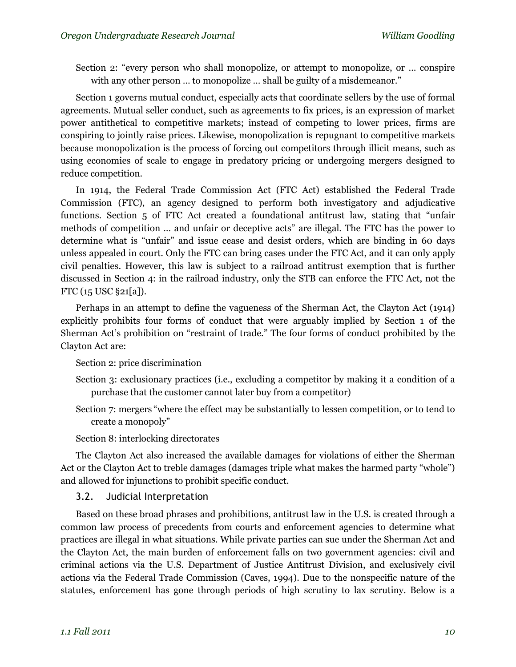Section 2: "every person who shall monopolize, or attempt to monopolize, or … conspire with any other person ... to monopolize ... shall be guilty of a misdemeanor."

Section 1 governs mutual conduct, especially acts that coordinate sellers by the use of formal agreements. Mutual seller conduct, such as agreements to fix prices, is an expression of market power antithetical to competitive markets; instead of competing to lower prices, firms are conspiring to jointly raise prices. Likewise, monopolization is repugnant to competitive markets because monopolization is the process of forcing out competitors through illicit means, such as using economies of scale to engage in predatory pricing or undergoing mergers designed to reduce competition.

In 1914, the Federal Trade Commission Act (FTC Act) established the Federal Trade Commission (FTC), an agency designed to perform both investigatory and adjudicative functions. Section 5 of FTC Act created a foundational antitrust law, stating that "unfair methods of competition … and unfair or deceptive acts" are illegal. The FTC has the power to determine what is "unfair" and issue cease and desist orders, which are binding in 60 days unless appealed in court. Only the FTC can bring cases under the FTC Act, and it can only apply civil penalties. However, this law is subject to a railroad antitrust exemption that is further discussed in Section 4: in the railroad industry, only the STB can enforce the FTC Act, not the FTC (15 USC §21[a]).

Perhaps in an attempt to define the vagueness of the Sherman Act, the Clayton Act (1914) explicitly prohibits four forms of conduct that were arguably implied by Section 1 of the Sherman Act's prohibition on "restraint of trade." The four forms of conduct prohibited by the Clayton Act are:

Section 2: price discrimination

- Section 3: exclusionary practices (i.e., excluding a competitor by making it a condition of a purchase that the customer cannot later buy from a competitor)
- Section 7: mergers "where the effect may be substantially to lessen competition, or to tend to create a monopoly"

Section 8: interlocking directorates

The Clayton Act also increased the available damages for violations of either the Sherman Act or the Clayton Act to treble damages (damages triple what makes the harmed party "whole") and allowed for injunctions to prohibit specific conduct.

3.2. Judicial Interpretation

Based on these broad phrases and prohibitions, antitrust law in the U.S. is created through a common law process of precedents from courts and enforcement agencies to determine what practices are illegal in what situations. While private parties can sue under the Sherman Act and the Clayton Act, the main burden of enforcement falls on two government agencies: civil and criminal actions via the U.S. Department of Justice Antitrust Division, and exclusively civil actions via the Federal Trade Commission (Caves, 1994). Due to the nonspecific nature of the statutes, enforcement has gone through periods of high scrutiny to lax scrutiny. Below is a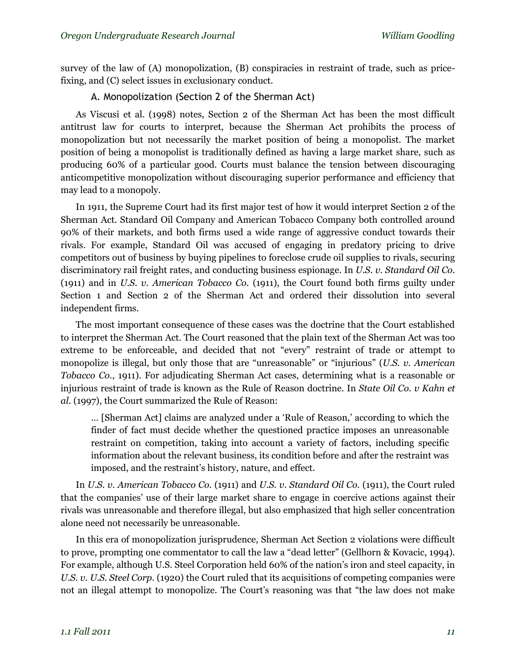survey of the law of (A) monopolization, (B) conspiracies in restraint of trade, such as pricefixing, and (C) select issues in exclusionary conduct.

#### A. Monopolization (Section 2 of the Sherman Act)

As Viscusi et al. (1998) notes, Section 2 of the Sherman Act has been the most difficult antitrust law for courts to interpret, because the Sherman Act prohibits the process of monopolization but not necessarily the market position of being a monopolist. The market position of being a monopolist is traditionally defined as having a large market share, such as producing 60% of a particular good. Courts must balance the tension between discouraging anticompetitive monopolization without discouraging superior performance and efficiency that may lead to a monopoly.

In 1911, the Supreme Court had its first major test of how it would interpret Section 2 of the Sherman Act. Standard Oil Company and American Tobacco Company both controlled around 90% of their markets, and both firms used a wide range of aggressive conduct towards their rivals. For example, Standard Oil was accused of engaging in predatory pricing to drive competitors out of business by buying pipelines to foreclose crude oil supplies to rivals, securing discriminatory rail freight rates, and conducting business espionage. In *U.S. v. Standard Oil Co.* (1911) and in *U.S. v. American Tobacco Co*. (1911), the Court found both firms guilty under Section 1 and Section 2 of the Sherman Act and ordered their dissolution into several independent firms.

The most important consequence of these cases was the doctrine that the Court established to interpret the Sherman Act. The Court reasoned that the plain text of the Sherman Act was too extreme to be enforceable, and decided that not "every" restraint of trade or attempt to monopolize is illegal, but only those that are "unreasonable" or "injurious" (*U.S. v. American Tobacco Co.*, 1911). For adjudicating Sherman Act cases, determining what is a reasonable or injurious restraint of trade is known as the Rule of Reason doctrine. In *State Oil Co. v Kahn et al.* (1997), the Court summarized the Rule of Reason:

… [Sherman Act] claims are analyzed under a 'Rule of Reason,' according to which the finder of fact must decide whether the questioned practice imposes an unreasonable restraint on competition, taking into account a variety of factors, including specific information about the relevant business, its condition before and after the restraint was imposed, and the restraint's history, nature, and effect.

In *U.S. v. American Tobacco Co.* (1911) and *U.S. v. Standard Oil Co.* (1911), the Court ruled that the companies' use of their large market share to engage in coercive actions against their rivals was unreasonable and therefore illegal, but also emphasized that high seller concentration alone need not necessarily be unreasonable.

In this era of monopolization jurisprudence, Sherman Act Section 2 violations were difficult to prove, prompting one commentator to call the law a "dead letter" (Gellhorn & Kovacic, 1994). For example, although U.S. Steel Corporation held 60% of the nation's iron and steel capacity, in *U.S. v. U.S. Steel Corp*. (1920) the Court ruled that its acquisitions of competing companies were not an illegal attempt to monopolize. The Court's reasoning was that "the law does not make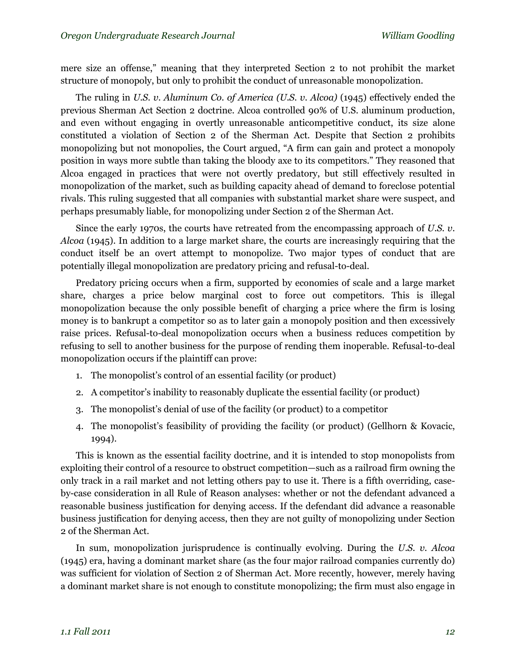mere size an offense," meaning that they interpreted Section 2 to not prohibit the market structure of monopoly, but only to prohibit the conduct of unreasonable monopolization.

The ruling in *U.S. v. Aluminum Co. of America (U.S. v. Alcoa)* (1945) effectively ended the previous Sherman Act Section 2 doctrine. Alcoa controlled 90% of U.S. aluminum production, and even without engaging in overtly unreasonable anticompetitive conduct, its size alone constituted a violation of Section 2 of the Sherman Act. Despite that Section 2 prohibits monopolizing but not monopolies, the Court argued, "A firm can gain and protect a monopoly position in ways more subtle than taking the bloody axe to its competitors." They reasoned that Alcoa engaged in practices that were not overtly predatory, but still effectively resulted in monopolization of the market, such as building capacity ahead of demand to foreclose potential rivals. This ruling suggested that all companies with substantial market share were suspect, and perhaps presumably liable, for monopolizing under Section 2 of the Sherman Act.

Since the early 1970s, the courts have retreated from the encompassing approach of *U.S. v. Alcoa* (1945). In addition to a large market share, the courts are increasingly requiring that the conduct itself be an overt attempt to monopolize. Two major types of conduct that are potentially illegal monopolization are predatory pricing and refusal-to-deal.

Predatory pricing occurs when a firm, supported by economies of scale and a large market share, charges a price below marginal cost to force out competitors. This is illegal monopolization because the only possible benefit of charging a price where the firm is losing money is to bankrupt a competitor so as to later gain a monopoly position and then excessively raise prices. Refusal-to-deal monopolization occurs when a business reduces competition by refusing to sell to another business for the purpose of rending them inoperable. Refusal-to-deal monopolization occurs if the plaintiff can prove:

- 1. The monopolist's control of an essential facility (or product)
- 2. A competitor's inability to reasonably duplicate the essential facility (or product)
- 3. The monopolist's denial of use of the facility (or product) to a competitor
- 4. The monopolist's feasibility of providing the facility (or product) (Gellhorn & Kovacic, 1994).

This is known as the essential facility doctrine, and it is intended to stop monopolists from exploiting their control of a resource to obstruct competition—such as a railroad firm owning the only track in a rail market and not letting others pay to use it. There is a fifth overriding, caseby-case consideration in all Rule of Reason analyses: whether or not the defendant advanced a reasonable business justification for denying access. If the defendant did advance a reasonable business justification for denying access, then they are not guilty of monopolizing under Section 2 of the Sherman Act.

In sum, monopolization jurisprudence is continually evolving. During the *U.S. v. Alcoa*  (1945) era, having a dominant market share (as the four major railroad companies currently do) was sufficient for violation of Section 2 of Sherman Act. More recently, however, merely having a dominant market share is not enough to constitute monopolizing; the firm must also engage in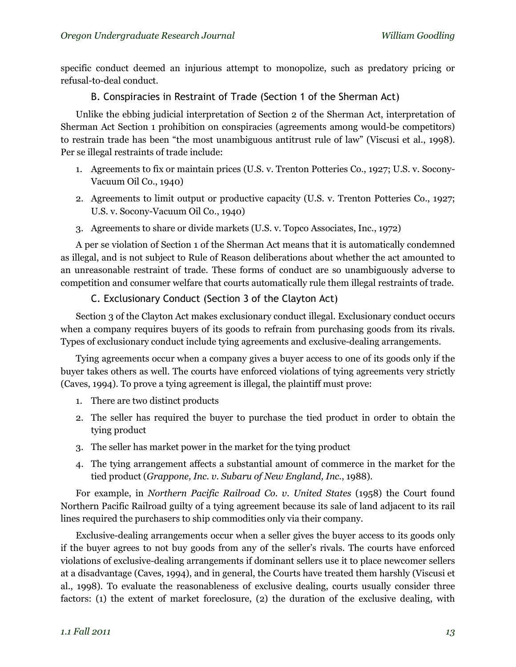specific conduct deemed an injurious attempt to monopolize, such as predatory pricing or refusal-to-deal conduct.

B. Conspiracies in Restraint of Trade (Section 1 of the Sherman Act)

Unlike the ebbing judicial interpretation of Section 2 of the Sherman Act, interpretation of Sherman Act Section 1 prohibition on conspiracies (agreements among would-be competitors) to restrain trade has been "the most unambiguous antitrust rule of law" (Viscusi et al., 1998). Per se illegal restraints of trade include:

- 1. Agreements to fix or maintain prices (U.S. v. Trenton Potteries Co., 1927; U.S. v. Socony-Vacuum Oil Co., 1940)
- 2. Agreements to limit output or productive capacity (U.S. v. Trenton Potteries Co., 1927; U.S. v. Socony-Vacuum Oil Co., 1940)
- 3. Agreements to share or divide markets (U.S. v. Topco Associates, Inc., 1972)

A per se violation of Section 1 of the Sherman Act means that it is automatically condemned as illegal, and is not subject to Rule of Reason deliberations about whether the act amounted to an unreasonable restraint of trade. These forms of conduct are so unambiguously adverse to competition and consumer welfare that courts automatically rule them illegal restraints of trade.

## C. Exclusionary Conduct (Section 3 of the Clayton Act)

Section 3 of the Clayton Act makes exclusionary conduct illegal. Exclusionary conduct occurs when a company requires buyers of its goods to refrain from purchasing goods from its rivals. Types of exclusionary conduct include tying agreements and exclusive-dealing arrangements.

Tying agreements occur when a company gives a buyer access to one of its goods only if the buyer takes others as well. The courts have enforced violations of tying agreements very strictly (Caves, 1994). To prove a tying agreement is illegal, the plaintiff must prove:

- 1. There are two distinct products
- 2. The seller has required the buyer to purchase the tied product in order to obtain the tying product
- 3. The seller has market power in the market for the tying product
- 4. The tying arrangement affects a substantial amount of commerce in the market for the tied product (*Grappone, Inc. v. Subaru of New England, Inc.*, 1988).

For example, in *Northern Pacific Railroad Co. v. United States* (1958) the Court found Northern Pacific Railroad guilty of a tying agreement because its sale of land adjacent to its rail lines required the purchasers to ship commodities only via their company.

Exclusive-dealing arrangements occur when a seller gives the buyer access to its goods only if the buyer agrees to not buy goods from any of the seller's rivals. The courts have enforced violations of exclusive-dealing arrangements if dominant sellers use it to place newcomer sellers at a disadvantage (Caves, 1994), and in general, the Courts have treated them harshly (Viscusi et al., 1998). To evaluate the reasonableness of exclusive dealing, courts usually consider three factors: (1) the extent of market foreclosure, (2) the duration of the exclusive dealing, with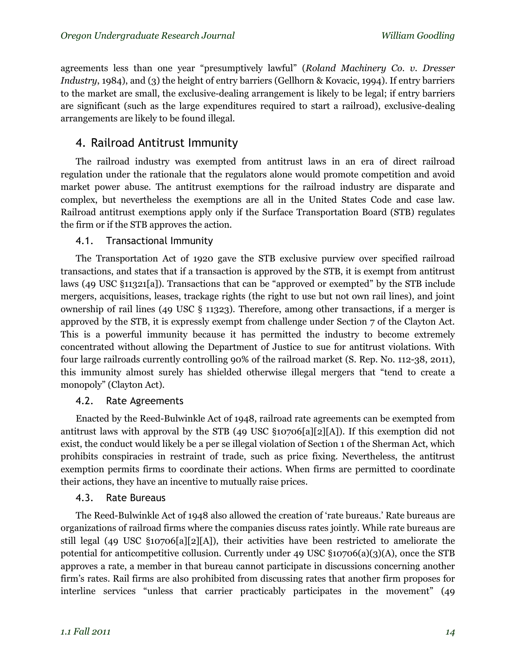agreements less than one year "presumptively lawful" (*Roland Machinery Co. v. Dresser Industry*, 1984), and (3) the height of entry barriers (Gellhorn & Kovacic, 1994). If entry barriers to the market are small, the exclusive-dealing arrangement is likely to be legal; if entry barriers are significant (such as the large expenditures required to start a railroad), exclusive-dealing arrangements are likely to be found illegal.

# 4. Railroad Antitrust Immunity

The railroad industry was exempted from antitrust laws in an era of direct railroad regulation under the rationale that the regulators alone would promote competition and avoid market power abuse. The antitrust exemptions for the railroad industry are disparate and complex, but nevertheless the exemptions are all in the United States Code and case law. Railroad antitrust exemptions apply only if the Surface Transportation Board (STB) regulates the firm or if the STB approves the action.

## 4.1. Transactional Immunity

The Transportation Act of 1920 gave the STB exclusive purview over specified railroad transactions, and states that if a transaction is approved by the STB, it is exempt from antitrust laws (49 USC §11321[a]). Transactions that can be "approved or exempted" by the STB include mergers, acquisitions, leases, trackage rights (the right to use but not own rail lines), and joint ownership of rail lines (49 USC § 11323). Therefore, among other transactions, if a merger is approved by the STB, it is expressly exempt from challenge under Section 7 of the Clayton Act. This is a powerful immunity because it has permitted the industry to become extremely concentrated without allowing the Department of Justice to sue for antitrust violations. With four large railroads currently controlling 90% of the railroad market (S. Rep. No. 112-38, 2011), this immunity almost surely has shielded otherwise illegal mergers that "tend to create a monopoly" (Clayton Act).

## 4.2. Rate Agreements

Enacted by the Reed-Bulwinkle Act of 1948, railroad rate agreements can be exempted from antitrust laws with approval by the STB (49 USC §10706[a][2][A]). If this exemption did not exist, the conduct would likely be a per se illegal violation of Section 1 of the Sherman Act, which prohibits conspiracies in restraint of trade, such as price fixing. Nevertheless, the antitrust exemption permits firms to coordinate their actions. When firms are permitted to coordinate their actions, they have an incentive to mutually raise prices.

## 4.3. Rate Bureaus

The Reed-Bulwinkle Act of 1948 also allowed the creation of 'rate bureaus.' Rate bureaus are organizations of railroad firms where the companies discuss rates jointly. While rate bureaus are still legal (49 USC §10706[a][2][A]), their activities have been restricted to ameliorate the potential for anticompetitive collusion. Currently under 49 USC §10706(a)(3)(A), once the STB approves a rate, a member in that bureau cannot participate in discussions concerning another firm's rates. Rail firms are also prohibited from discussing rates that another firm proposes for interline services "unless that carrier practicably participates in the movement" (49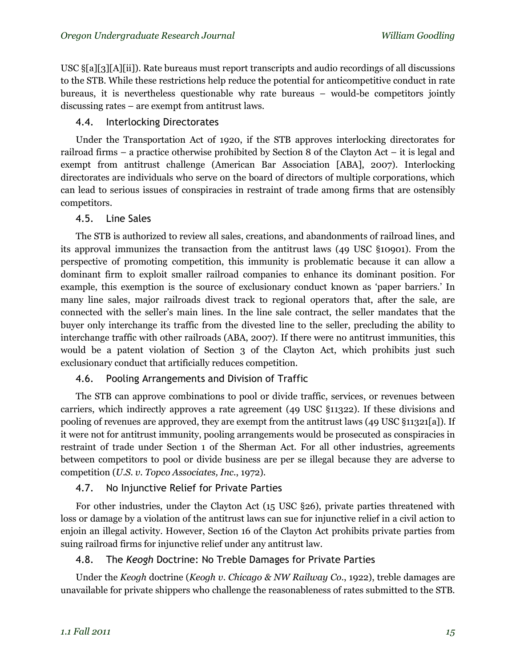USC §[a][3][A][ii]). Rate bureaus must report transcripts and audio recordings of all discussions to the STB. While these restrictions help reduce the potential for anticompetitive conduct in rate bureaus, it is nevertheless questionable why rate bureaus – would-be competitors jointly discussing rates – are exempt from antitrust laws.

## 4.4. Interlocking Directorates

Under the Transportation Act of 1920, if the STB approves interlocking directorates for railroad firms – a practice otherwise prohibited by Section 8 of the Clayton Act – it is legal and exempt from antitrust challenge (American Bar Association [ABA], 2007). Interlocking directorates are individuals who serve on the board of directors of multiple corporations, which can lead to serious issues of conspiracies in restraint of trade among firms that are ostensibly competitors.

## 4.5. Line Sales

The STB is authorized to review all sales, creations, and abandonments of railroad lines, and its approval immunizes the transaction from the antitrust laws (49 USC §10901). From the perspective of promoting competition, this immunity is problematic because it can allow a dominant firm to exploit smaller railroad companies to enhance its dominant position. For example, this exemption is the source of exclusionary conduct known as 'paper barriers.' In many line sales, major railroads divest track to regional operators that, after the sale, are connected with the seller's main lines. In the line sale contract, the seller mandates that the buyer only interchange its traffic from the divested line to the seller, precluding the ability to interchange traffic with other railroads (ABA, 2007). If there were no antitrust immunities, this would be a patent violation of Section 3 of the Clayton Act, which prohibits just such exclusionary conduct that artificially reduces competition.

## 4.6. Pooling Arrangements and Division of Traffic

The STB can approve combinations to pool or divide traffic, services, or revenues between carriers, which indirectly approves a rate agreement (49 USC §11322). If these divisions and pooling of revenues are approved, they are exempt from the antitrust laws (49 USC §11321[a]). If it were not for antitrust immunity, pooling arrangements would be prosecuted as conspiracies in restraint of trade under Section 1 of the Sherman Act. For all other industries, agreements between competitors to pool or divide business are per se illegal because they are adverse to competition (*U.S. v. Topco Associates, Inc.*, 1972).

# 4.7. No Injunctive Relief for Private Parties

For other industries, under the Clayton Act (15 USC §26), private parties threatened with loss or damage by a violation of the antitrust laws can sue for injunctive relief in a civil action to enjoin an illegal activity. However, Section 16 of the Clayton Act prohibits private parties from suing railroad firms for injunctive relief under any antitrust law.

# 4.8. The *Keogh* Doctrine: No Treble Damages for Private Parties

Under the *Keogh* doctrine (*Keogh v. Chicago & NW Railway Co.*, 1922), treble damages are unavailable for private shippers who challenge the reasonableness of rates submitted to the STB.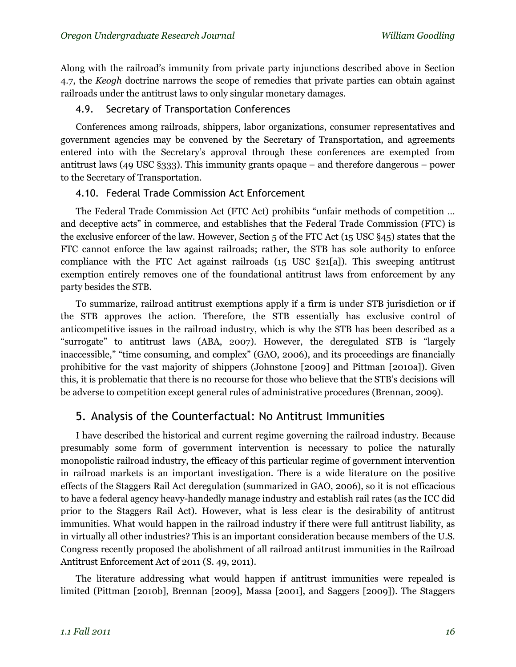Along with the railroad's immunity from private party injunctions described above in Section 4.7, the *Keogh* doctrine narrows the scope of remedies that private parties can obtain against railroads under the antitrust laws to only singular monetary damages.

#### 4.9. Secretary of Transportation Conferences

Conferences among railroads, shippers, labor organizations, consumer representatives and government agencies may be convened by the Secretary of Transportation, and agreements entered into with the Secretary's approval through these conferences are exempted from antitrust laws (49 USC §333). This immunity grants opaque – and therefore dangerous – power to the Secretary of Transportation.

### 4.10. Federal Trade Commission Act Enforcement

The Federal Trade Commission Act (FTC Act) prohibits "unfair methods of competition … and deceptive acts" in commerce, and establishes that the Federal Trade Commission (FTC) is the exclusive enforcer of the law. However, Section 5 of the FTC Act (15 USC §45) states that the FTC cannot enforce the law against railroads; rather, the STB has sole authority to enforce compliance with the FTC Act against railroads (15 USC §21[a]). This sweeping antitrust exemption entirely removes one of the foundational antitrust laws from enforcement by any party besides the STB.

To summarize, railroad antitrust exemptions apply if a firm is under STB jurisdiction or if the STB approves the action. Therefore, the STB essentially has exclusive control of anticompetitive issues in the railroad industry, which is why the STB has been described as a "surrogate" to antitrust laws (ABA, 2007). However, the deregulated STB is "largely inaccessible," "time consuming, and complex" (GAO, 2006), and its proceedings are financially prohibitive for the vast majority of shippers (Johnstone [2009] and Pittman [2010a]). Given this, it is problematic that there is no recourse for those who believe that the STB's decisions will be adverse to competition except general rules of administrative procedures (Brennan, 2009).

# 5. Analysis of the Counterfactual: No Antitrust Immunities

I have described the historical and current regime governing the railroad industry. Because presumably some form of government intervention is necessary to police the naturally monopolistic railroad industry, the efficacy of this particular regime of government intervention in railroad markets is an important investigation. There is a wide literature on the positive effects of the Staggers Rail Act deregulation (summarized in GAO, 2006), so it is not efficacious to have a federal agency heavy-handedly manage industry and establish rail rates (as the ICC did prior to the Staggers Rail Act). However, what is less clear is the desirability of antitrust immunities. What would happen in the railroad industry if there were full antitrust liability, as in virtually all other industries? This is an important consideration because members of the U.S. Congress recently proposed the abolishment of all railroad antitrust immunities in the Railroad Antitrust Enforcement Act of 2011 (S. 49, 2011).

The literature addressing what would happen if antitrust immunities were repealed is limited (Pittman [2010b], Brennan [2009], Massa [2001], and Saggers [2009]). The Staggers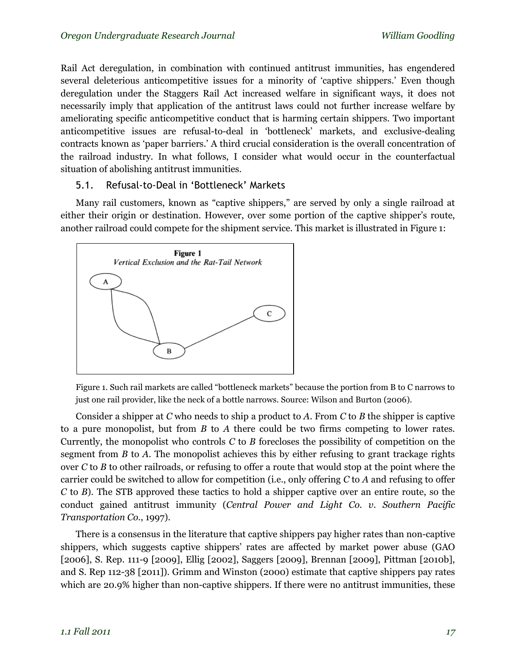Rail Act deregulation, in combination with continued antitrust immunities, has engendered several deleterious anticompetitive issues for a minority of 'captive shippers.' Even though deregulation under the Staggers Rail Act increased welfare in significant ways, it does not necessarily imply that application of the antitrust laws could not further increase welfare by ameliorating specific anticompetitive conduct that is harming certain shippers. Two important anticompetitive issues are refusal-to-deal in 'bottleneck' markets, and exclusive-dealing contracts known as 'paper barriers.' A third crucial consideration is the overall concentration of the railroad industry. In what follows, I consider what would occur in the counterfactual situation of abolishing antitrust immunities.

### 5.1. Refusal-to-Deal in 'Bottleneck' Markets

Many rail customers, known as "captive shippers," are served by only a single railroad at either their origin or destination. However, over some portion of the captive shipper's route, another railroad could compete for the shipment service. This market is illustrated in Figure 1:



Figure 1. Such rail markets are called "bottleneck markets" because the portion from B to C narrows to just one rail provider, like the neck of a bottle narrows. Source: Wilson and Burton (2006).

Consider a shipper at *C* who needs to ship a product to *A*. From *C* to *B* the shipper is captive to a pure monopolist, but from *B* to *A* there could be two firms competing to lower rates. Currently, the monopolist who controls *C* to *B* forecloses the possibility of competition on the segment from *B* to *A*. The monopolist achieves this by either refusing to grant trackage rights over *C* to *B* to other railroads, or refusing to offer a route that would stop at the point where the carrier could be switched to allow for competition (i.e., only offering *C* to *A* and refusing to offer *C* to *B*). The STB approved these tactics to hold a shipper captive over an entire route, so the conduct gained antitrust immunity (*Central Power and Light Co. v. Southern Pacific Transportation Co.*, 1997).

There is a consensus in the literature that captive shippers pay higher rates than non-captive shippers, which suggests captive shippers' rates are affected by market power abuse (GAO [2006], S. Rep. 111-9 [2009], Ellig [2002], Saggers [2009], Brennan [2009], Pittman [2010b], and S. Rep 112-38 [2011]). Grimm and Winston (2000) estimate that captive shippers pay rates which are 20.9% higher than non-captive shippers. If there were no antitrust immunities, these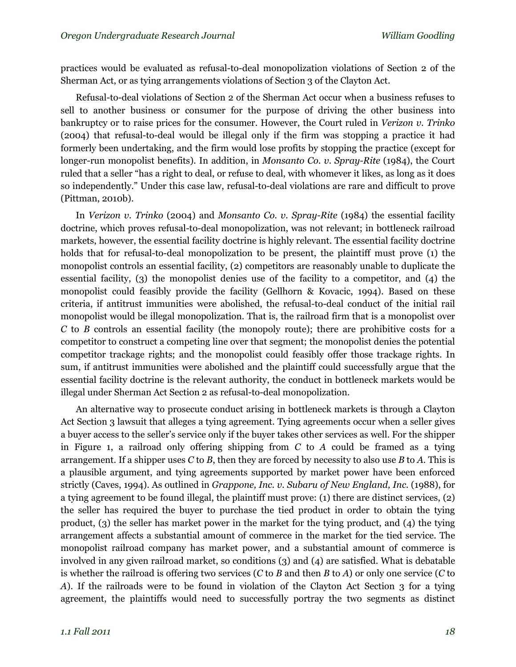practices would be evaluated as refusal-to-deal monopolization violations of Section 2 of the Sherman Act, or as tying arrangements violations of Section 3 of the Clayton Act.

Refusal-to-deal violations of Section 2 of the Sherman Act occur when a business refuses to sell to another business or consumer for the purpose of driving the other business into bankruptcy or to raise prices for the consumer. However, the Court ruled in *Verizon v. Trinko*  (2004) that refusal-to-deal would be illegal only if the firm was stopping a practice it had formerly been undertaking, and the firm would lose profits by stopping the practice (except for longer-run monopolist benefits). In addition, in *Monsanto Co. v. Spray-Rite* (1984), the Court ruled that a seller "has a right to deal, or refuse to deal, with whomever it likes, as long as it does so independently." Under this case law, refusal-to-deal violations are rare and difficult to prove (Pittman, 2010b).

In *Verizon v. Trinko* (2004) and *Monsanto Co. v. Spray-Rite* (1984) the essential facility doctrine, which proves refusal-to-deal monopolization, was not relevant; in bottleneck railroad markets, however, the essential facility doctrine is highly relevant. The essential facility doctrine holds that for refusal-to-deal monopolization to be present, the plaintiff must prove (1) the monopolist controls an essential facility, (2) competitors are reasonably unable to duplicate the essential facility, (3) the monopolist denies use of the facility to a competitor, and (4) the monopolist could feasibly provide the facility (Gellhorn & Kovacic, 1994). Based on these criteria, if antitrust immunities were abolished, the refusal-to-deal conduct of the initial rail monopolist would be illegal monopolization. That is, the railroad firm that is a monopolist over *C* to *B* controls an essential facility (the monopoly route); there are prohibitive costs for a competitor to construct a competing line over that segment; the monopolist denies the potential competitor trackage rights; and the monopolist could feasibly offer those trackage rights. In sum, if antitrust immunities were abolished and the plaintiff could successfully argue that the essential facility doctrine is the relevant authority, the conduct in bottleneck markets would be illegal under Sherman Act Section 2 as refusal-to-deal monopolization.

An alternative way to prosecute conduct arising in bottleneck markets is through a Clayton Act Section 3 lawsuit that alleges a tying agreement. Tying agreements occur when a seller gives a buyer access to the seller's service only if the buyer takes other services as well. For the shipper in Figure 1, a railroad only offering shipping from *C* to *A* could be framed as a tying arrangement. If a shipper uses *C* to *B*, then they are forced by necessity to also use *B* to *A*. This is a plausible argument, and tying agreements supported by market power have been enforced strictly (Caves, 1994). As outlined in *Grappone, Inc. v. Subaru of New England, Inc.* (1988), for a tying agreement to be found illegal, the plaintiff must prove: (1) there are distinct services, (2) the seller has required the buyer to purchase the tied product in order to obtain the tying product, (3) the seller has market power in the market for the tying product, and (4) the tying arrangement affects a substantial amount of commerce in the market for the tied service. The monopolist railroad company has market power, and a substantial amount of commerce is involved in any given railroad market, so conditions (3) and (4) are satisfied. What is debatable is whether the railroad is offering two services (*C* to *B* and then *B* to *A*) or only one service (*C* to *A*). If the railroads were to be found in violation of the Clayton Act Section 3 for a tying agreement, the plaintiffs would need to successfully portray the two segments as distinct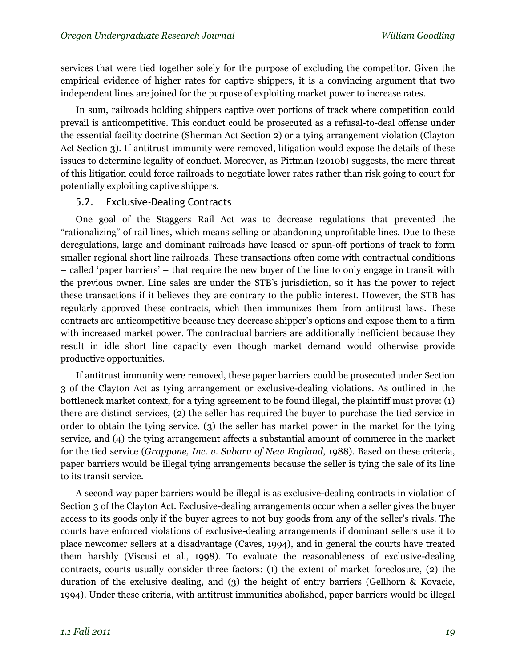services that were tied together solely for the purpose of excluding the competitor. Given the empirical evidence of higher rates for captive shippers, it is a convincing argument that two independent lines are joined for the purpose of exploiting market power to increase rates.

In sum, railroads holding shippers captive over portions of track where competition could prevail is anticompetitive. This conduct could be prosecuted as a refusal-to-deal offense under the essential facility doctrine (Sherman Act Section 2) or a tying arrangement violation (Clayton Act Section 3). If antitrust immunity were removed, litigation would expose the details of these issues to determine legality of conduct. Moreover, as Pittman (2010b) suggests, the mere threat of this litigation could force railroads to negotiate lower rates rather than risk going to court for potentially exploiting captive shippers.

#### 5.2. Exclusive-Dealing Contracts

One goal of the Staggers Rail Act was to decrease regulations that prevented the "rationalizing" of rail lines, which means selling or abandoning unprofitable lines. Due to these deregulations, large and dominant railroads have leased or spun-off portions of track to form smaller regional short line railroads. These transactions often come with contractual conditions – called 'paper barriers' – that require the new buyer of the line to only engage in transit with the previous owner. Line sales are under the STB's jurisdiction, so it has the power to reject these transactions if it believes they are contrary to the public interest. However, the STB has regularly approved these contracts, which then immunizes them from antitrust laws. These contracts are anticompetitive because they decrease shipper's options and expose them to a firm with increased market power. The contractual barriers are additionally inefficient because they result in idle short line capacity even though market demand would otherwise provide productive opportunities.

If antitrust immunity were removed, these paper barriers could be prosecuted under Section 3 of the Clayton Act as tying arrangement or exclusive-dealing violations. As outlined in the bottleneck market context, for a tying agreement to be found illegal, the plaintiff must prove: (1) there are distinct services, (2) the seller has required the buyer to purchase the tied service in order to obtain the tying service, (3) the seller has market power in the market for the tying service, and (4) the tying arrangement affects a substantial amount of commerce in the market for the tied service (*Grappone, Inc. v. Subaru of New England*, 1988). Based on these criteria, paper barriers would be illegal tying arrangements because the seller is tying the sale of its line to its transit service.

A second way paper barriers would be illegal is as exclusive-dealing contracts in violation of Section 3 of the Clayton Act. Exclusive-dealing arrangements occur when a seller gives the buyer access to its goods only if the buyer agrees to not buy goods from any of the seller's rivals. The courts have enforced violations of exclusive-dealing arrangements if dominant sellers use it to place newcomer sellers at a disadvantage (Caves, 1994), and in general the courts have treated them harshly (Viscusi et al., 1998). To evaluate the reasonableness of exclusive-dealing contracts, courts usually consider three factors: (1) the extent of market foreclosure, (2) the duration of the exclusive dealing, and (3) the height of entry barriers (Gellhorn & Kovacic, 1994). Under these criteria, with antitrust immunities abolished, paper barriers would be illegal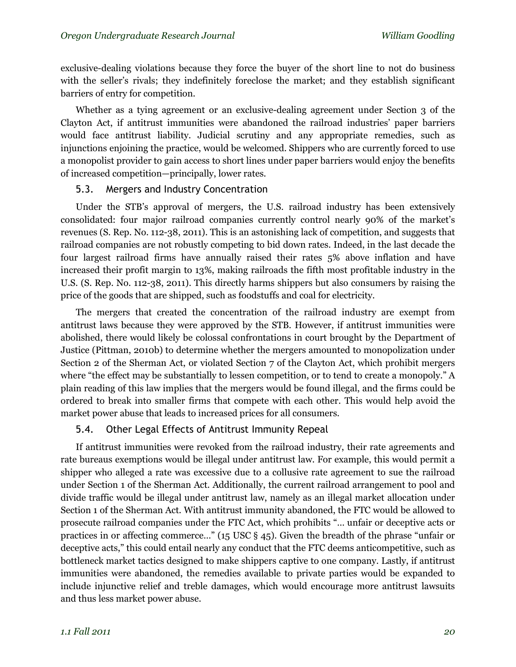exclusive-dealing violations because they force the buyer of the short line to not do business with the seller's rivals; they indefinitely foreclose the market; and they establish significant barriers of entry for competition.

Whether as a tying agreement or an exclusive-dealing agreement under Section 3 of the Clayton Act, if antitrust immunities were abandoned the railroad industries' paper barriers would face antitrust liability. Judicial scrutiny and any appropriate remedies, such as injunctions enjoining the practice, would be welcomed. Shippers who are currently forced to use a monopolist provider to gain access to short lines under paper barriers would enjoy the benefits of increased competition—principally, lower rates.

#### 5.3. Mergers and Industry Concentration

Under the STB's approval of mergers, the U.S. railroad industry has been extensively consolidated: four major railroad companies currently control nearly 90% of the market's revenues (S. Rep. No. 112-38, 2011). This is an astonishing lack of competition, and suggests that railroad companies are not robustly competing to bid down rates. Indeed, in the last decade the four largest railroad firms have annually raised their rates 5% above inflation and have increased their profit margin to 13%, making railroads the fifth most profitable industry in the U.S. (S. Rep. No. 112-38, 2011). This directly harms shippers but also consumers by raising the price of the goods that are shipped, such as foodstuffs and coal for electricity.

The mergers that created the concentration of the railroad industry are exempt from antitrust laws because they were approved by the STB. However, if antitrust immunities were abolished, there would likely be colossal confrontations in court brought by the Department of Justice (Pittman, 2010b) to determine whether the mergers amounted to monopolization under Section 2 of the Sherman Act, or violated Section 7 of the Clayton Act, which prohibit mergers where "the effect may be substantially to lessen competition, or to tend to create a monopoly." A plain reading of this law implies that the mergers would be found illegal, and the firms could be ordered to break into smaller firms that compete with each other. This would help avoid the market power abuse that leads to increased prices for all consumers.

#### 5.4. Other Legal Effects of Antitrust Immunity Repeal

If antitrust immunities were revoked from the railroad industry, their rate agreements and rate bureaus exemptions would be illegal under antitrust law. For example, this would permit a shipper who alleged a rate was excessive due to a collusive rate agreement to sue the railroad under Section 1 of the Sherman Act. Additionally, the current railroad arrangement to pool and divide traffic would be illegal under antitrust law, namely as an illegal market allocation under Section 1 of the Sherman Act. With antitrust immunity abandoned, the FTC would be allowed to prosecute railroad companies under the FTC Act, which prohibits "… unfair or deceptive acts or practices in or affecting commerce…" (15 USC § 45). Given the breadth of the phrase "unfair or deceptive acts," this could entail nearly any conduct that the FTC deems anticompetitive, such as bottleneck market tactics designed to make shippers captive to one company. Lastly, if antitrust immunities were abandoned, the remedies available to private parties would be expanded to include injunctive relief and treble damages, which would encourage more antitrust lawsuits and thus less market power abuse.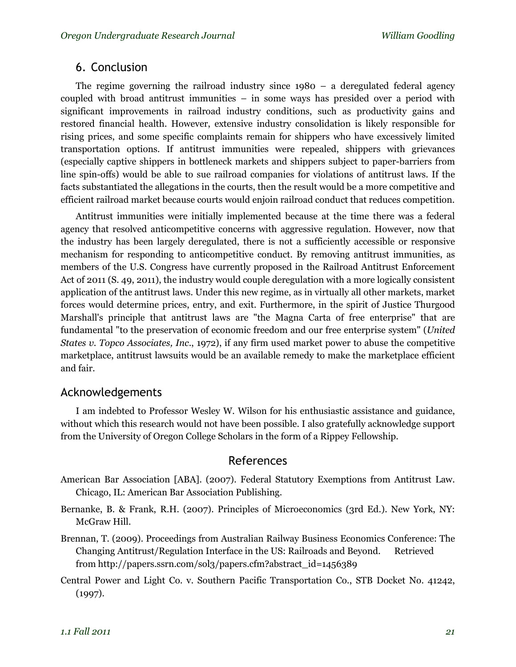# 6. Conclusion

The regime governing the railroad industry since 1980 – a deregulated federal agency coupled with broad antitrust immunities – in some ways has presided over a period with significant improvements in railroad industry conditions, such as productivity gains and restored financial health. However, extensive industry consolidation is likely responsible for rising prices, and some specific complaints remain for shippers who have excessively limited transportation options. If antitrust immunities were repealed, shippers with grievances (especially captive shippers in bottleneck markets and shippers subject to paper-barriers from line spin-offs) would be able to sue railroad companies for violations of antitrust laws. If the facts substantiated the allegations in the courts, then the result would be a more competitive and efficient railroad market because courts would enjoin railroad conduct that reduces competition.

Antitrust immunities were initially implemented because at the time there was a federal agency that resolved anticompetitive concerns with aggressive regulation. However, now that the industry has been largely deregulated, there is not a sufficiently accessible or responsive mechanism for responding to anticompetitive conduct. By removing antitrust immunities, as members of the U.S. Congress have currently proposed in the Railroad Antitrust Enforcement Act of 2011 (S. 49, 2011), the industry would couple deregulation with a more logically consistent application of the antitrust laws. Under this new regime, as in virtually all other markets, market forces would determine prices, entry, and exit. Furthermore, in the spirit of Justice Thurgood Marshall's principle that antitrust laws are "the Magna Carta of free enterprise" that are fundamental "to the preservation of economic freedom and our free enterprise system" (*United States v. Topco Associates, Inc.*, 1972), if any firm used market power to abuse the competitive marketplace, antitrust lawsuits would be an available remedy to make the marketplace efficient and fair.

# Acknowledgements

I am indebted to Professor Wesley W. Wilson for his enthusiastic assistance and guidance, without which this research would not have been possible. I also gratefully acknowledge support from the University of Oregon College Scholars in the form of a Rippey Fellowship.

# References

- American Bar Association [ABA]. (2007). Federal Statutory Exemptions from Antitrust Law. Chicago, IL: American Bar Association Publishing.
- Bernanke, B. & Frank, R.H. (2007). Principles of Microeconomics (3rd Ed.). New York, NY: McGraw Hill.
- Brennan, T. (2009). Proceedings from Australian Railway Business Economics Conference: The Changing Antitrust/Regulation Interface in the US: Railroads and Beyond. Retrieved from http://papers.ssrn.com/sol3/papers.cfm?abstract\_id=1456389
- Central Power and Light Co. v. Southern Pacific Transportation Co., STB Docket No. 41242, (1997).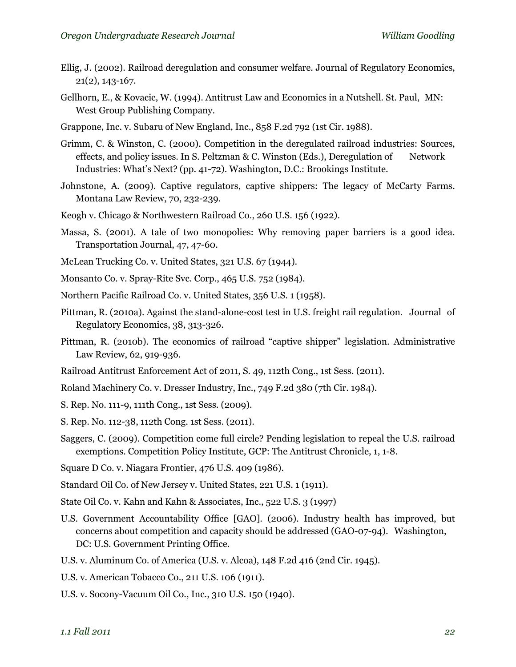- Ellig, J. (2002). Railroad deregulation and consumer welfare. Journal of Regulatory Economics, 21(2), 143-167.
- Gellhorn, E., & Kovacic, W. (1994). Antitrust Law and Economics in a Nutshell. St. Paul, MN: West Group Publishing Company.
- Grappone, Inc. v. Subaru of New England, Inc., 858 F.2d 792 (1st Cir. 1988).
- Grimm, C. & Winston, C. (2000). Competition in the deregulated railroad industries: Sources, effects, and policy issues. In S. Peltzman & C. Winston (Eds.), Deregulation of Network Industries: What's Next? (pp. 41-72). Washington, D.C.: Brookings Institute.
- Johnstone, A. (2009). Captive regulators, captive shippers: The legacy of McCarty Farms. Montana Law Review, 70, 232-239.
- Keogh v. Chicago & Northwestern Railroad Co., 260 U.S. 156 (1922).
- Massa, S. (2001). A tale of two monopolies: Why removing paper barriers is a good idea. Transportation Journal, 47, 47-60.
- McLean Trucking Co. v. United States, 321 U.S. 67 (1944).
- Monsanto Co. v. Spray-Rite Svc. Corp., 465 U.S. 752 (1984).
- Northern Pacific Railroad Co. v. United States, 356 U.S. 1 (1958).
- Pittman, R. (2010a). Against the stand-alone-cost test in U.S. freight rail regulation. Journal of Regulatory Economics, 38, 313-326.
- Pittman, R. (2010b). The economics of railroad "captive shipper" legislation. Administrative Law Review, 62, 919-936.
- Railroad Antitrust Enforcement Act of 2011, S. 49, 112th Cong., 1st Sess. (2011).
- Roland Machinery Co. v. Dresser Industry, Inc., 749 F.2d 380 (7th Cir. 1984).
- S. Rep. No. 111-9, 111th Cong., 1st Sess. (2009).
- S. Rep. No. 112-38, 112th Cong. 1st Sess. (2011).
- Saggers, C. (2009). Competition come full circle? Pending legislation to repeal the U.S. railroad exemptions. Competition Policy Institute, GCP: The Antitrust Chronicle, 1, 1-8.
- Square D Co. v. Niagara Frontier, 476 U.S. 409 (1986).
- Standard Oil Co. of New Jersey v. United States, 221 U.S. 1 (1911).
- State Oil Co. v. Kahn and Kahn & Associates, Inc., 522 U.S. 3 (1997)
- U.S. Government Accountability Office [GAO]. (2006). Industry health has improved, but concerns about competition and capacity should be addressed (GAO-07-94). Washington, DC: U.S. Government Printing Office.
- U.S. v. Aluminum Co. of America (U.S. v. Alcoa), 148 F.2d 416 (2nd Cir. 1945).
- U.S. v. American Tobacco Co., 211 U.S. 106 (1911).
- U.S. v. Socony-Vacuum Oil Co., Inc., 310 U.S. 150 (1940).